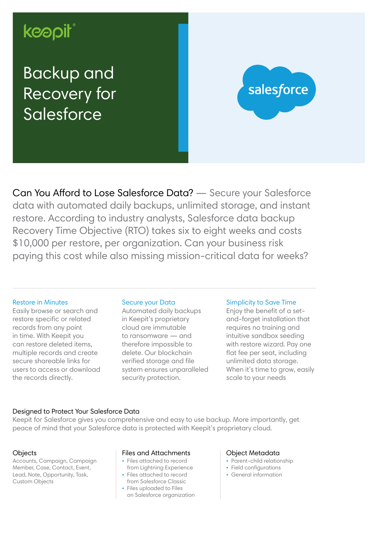# keapit

## Backup and Recovery for **Salesforce**



Can You Afford to Lose Salesforce Data? — Secure your Salesforce data with automated daily backups, unlimited storage, and instant restore. According to industry analysts, Salesforce data backup Recovery Time Objective (RTO) takes six to eight weeks and costs \$10,000 per restore, per organization. Can your business risk paying this cost while also missing mission-critical data for weeks?

#### Restore in Minutes

Easily browse or search and restore specific or related records from any point in time. With Keepit you can restore deleted items, multiple records and create secure shareable links for users to access or download the records directly.

#### Secure your Data

Automated daily backups in Keepit's proprietary cloud are immutable to ransomware — and therefore impossible to delete. Our blockchain verified storage and file system ensures unparalleled security protection.

#### Simplicity to Save Time

Enjoy the benefit of a setand-forget installation that requires no training and intuitive sandbox seeding with restore wizard. Pay one flat fee per seat, including unlimited data storage. When it's time to grow, easily scale to your needs

#### Designed to Protect Your Salesforce Data

Keepit for Salesforce gives you comprehensive and easy to use backup. More importantly, get peace of mind that your Salesforce data is protected with Keepit's proprietary cloud.

#### **Objects**

Accounts, Campaign, Campaign Member, Case, Contact, Event, Lead, Note, Opportunity, Task, Custom Objects

#### Files and Attachments

- Files attached to record
- from Lightning Experience • Files attached to record
- from Salesforce Classic
- Files uploaded to Files on Salesforce organization

#### Object Metadata

- Parent-child relationship
- Field configurations
- General information